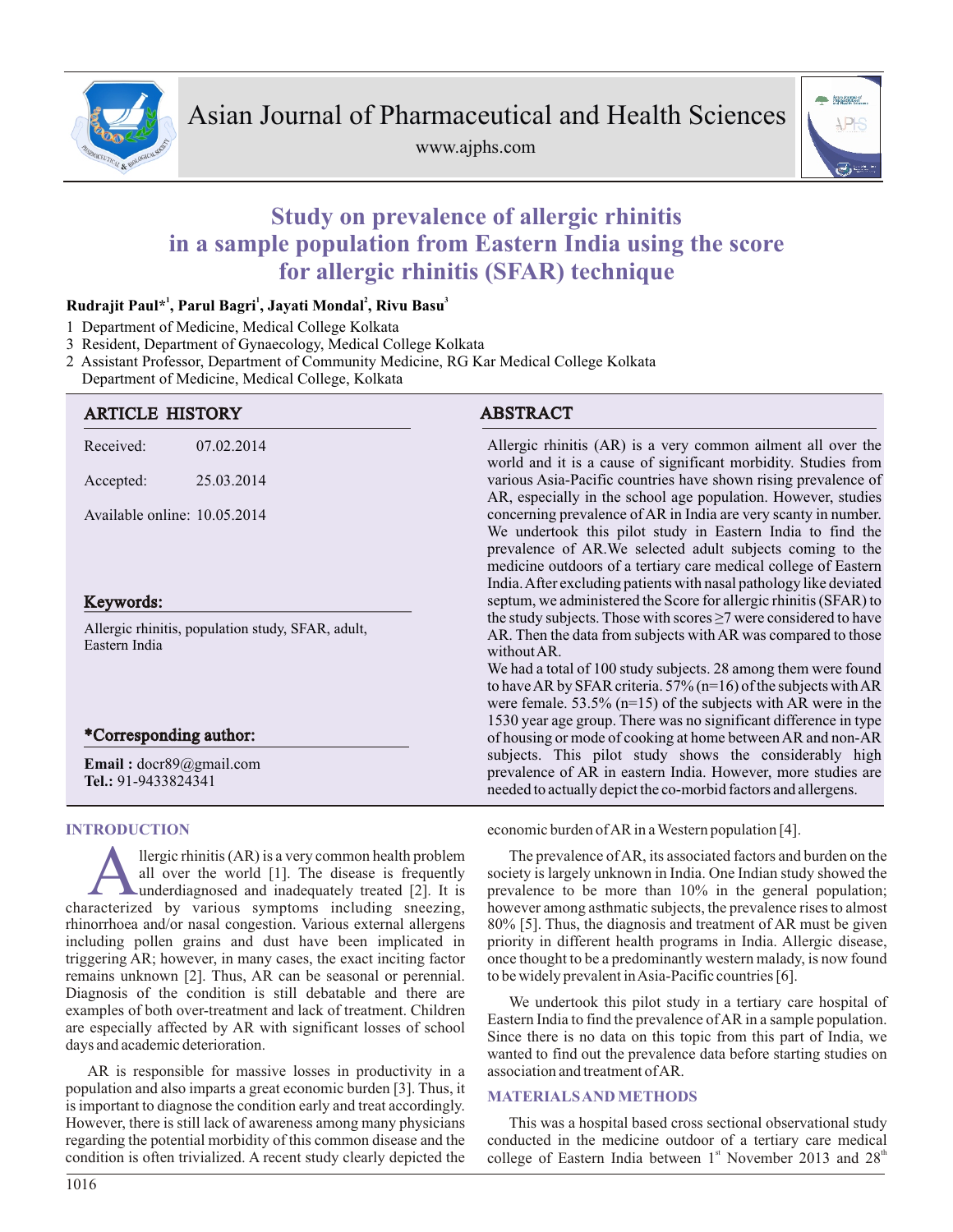

www.ajphs.com



# **Study on prevalence of allergic rhinitis in a sample population from Eastern India using the score for allergic rhinitis (SFAR) technique**

# **<sup>1</sup> <sup>1</sup> <sup>2</sup> <sup>3</sup> Rudrajit Paul\* , Parul Bagri , Jayati Mondal , Rivu Basu**

- 1 Department of Medicine, Medical College Kolkata
- 3 Resident, Department of Gynaecology, Medical College Kolkata

2 Assistant Professor, Department of Community Medicine, RG Kar Medical College Kolkata

Department of Medicine, Medical College, Kolkata

| <b>ARTICLE HISTORY</b>                                             |            | <b>ABSTRACT</b>                                                                                                                                                                                                                                                                                                                                                                                           |  |  |  |
|--------------------------------------------------------------------|------------|-----------------------------------------------------------------------------------------------------------------------------------------------------------------------------------------------------------------------------------------------------------------------------------------------------------------------------------------------------------------------------------------------------------|--|--|--|
| Received:                                                          | 07.02.2014 | Allergic rhinitis (AR) is a very common ailment all over the<br>world and it is a cause of significant morbidity. Studies from                                                                                                                                                                                                                                                                            |  |  |  |
| Accepted:                                                          | 25.03.2014 | various Asia-Pacific countries have shown rising prevalence of<br>AR, especially in the school age population. However, studies                                                                                                                                                                                                                                                                           |  |  |  |
| Available online: 10.05.2014                                       |            | concerning prevalence of AR in India are very scanty in number.<br>We undertook this pilot study in Eastern India to find the<br>prevalence of AR. We selected adult subjects coming to the<br>medicine outdoors of a tertiary care medical college of Eastern<br>India. After excluding patients with nasal pathology like deviated<br>septum, we administered the Score for allergic rhinitis (SFAR) to |  |  |  |
| Keywords:                                                          |            |                                                                                                                                                                                                                                                                                                                                                                                                           |  |  |  |
| Allergic rhinitis, population study, SFAR, adult,<br>Eastern India |            | the study subjects. Those with scores $\geq$ 7 were considered to have<br>AR. Then the data from subjects with AR was compared to those<br>without AR.                                                                                                                                                                                                                                                    |  |  |  |
|                                                                    |            | We had a total of 100 study subjects. 28 among them were found<br>to have AR by SFAR criteria. 57% ( $n=16$ ) of the subjects with AR<br>were female. $53.5\%$ (n=15) of the subjects with AR were in the                                                                                                                                                                                                 |  |  |  |
| *Corresponding author:                                             |            | 1530 year age group. There was no significant difference in type<br>of housing or mode of cooking at home between AR and non-AR                                                                                                                                                                                                                                                                           |  |  |  |
| <b>Email:</b> $docr89@gmail.com$<br><b>Tel.:</b> 91-9433824341     |            | subjects. This pilot study shows the considerably high<br>prevalence of AR in eastern India. However, more studies are<br>needed to actually depict the co-morbid factors and allergens.                                                                                                                                                                                                                  |  |  |  |

# **INTRODUCTION**

A llergic rhinitis (AR) is a very common health problem<br>all over the world [1]. The disease is frequently<br>underdiagnosed and inadequately treated [2]. It is<br>characterized by various symptoms including sneezing, llergic rhinitis (AR) is a very common health problem all over the world [1]. The disease is frequently **L**underdiagnosed and inadequately treated [2]. It is rhinorrhoea and/or nasal congestion. Various external allergens including pollen grains and dust have been implicated in triggering AR; however, in many cases, the exact inciting factor remains unknown [2]. Thus, AR can be seasonal or perennial. Diagnosis of the condition is still debatable and there are examples of both over-treatment and lack of treatment. Children are especially affected by AR with significant losses of school days and academic deterioration.

AR is responsible for massive losses in productivity in a population and also imparts a great economic burden [3]. Thus, it is important to diagnose the condition early and treat accordingly. However, there is still lack of awareness among many physicians regarding the potential morbidity of this common disease and the condition is often trivialized. A recent study clearly depicted the

# economic burden of AR in a Western population [4].

The prevalence of AR, its associated factors and burden on the society is largely unknown in India. One Indian study showed the prevalence to be more than 10% in the general population; however among asthmatic subjects, the prevalence rises to almost 80% [5]. Thus, the diagnosis and treatment of AR must be given priority in different health programs in India. Allergic disease, once thought to be a predominantly western malady, is now found to be widely prevalent in Asia-Pacific countries [6].

We undertook this pilot study in a tertiary care hospital of Eastern India to find the prevalence of AR in a sample population. Since there is no data on this topic from this part of India, we wanted to find out the prevalence data before starting studies on association and treatment of AR.

#### **MATERIALS AND METHODS**

This was a hospital based cross sectional observational study conducted in the medicine outdoor of a tertiary care medical college of Eastern India between  $1<sup>st</sup>$  November 2013 and  $28<sup>th</sup>$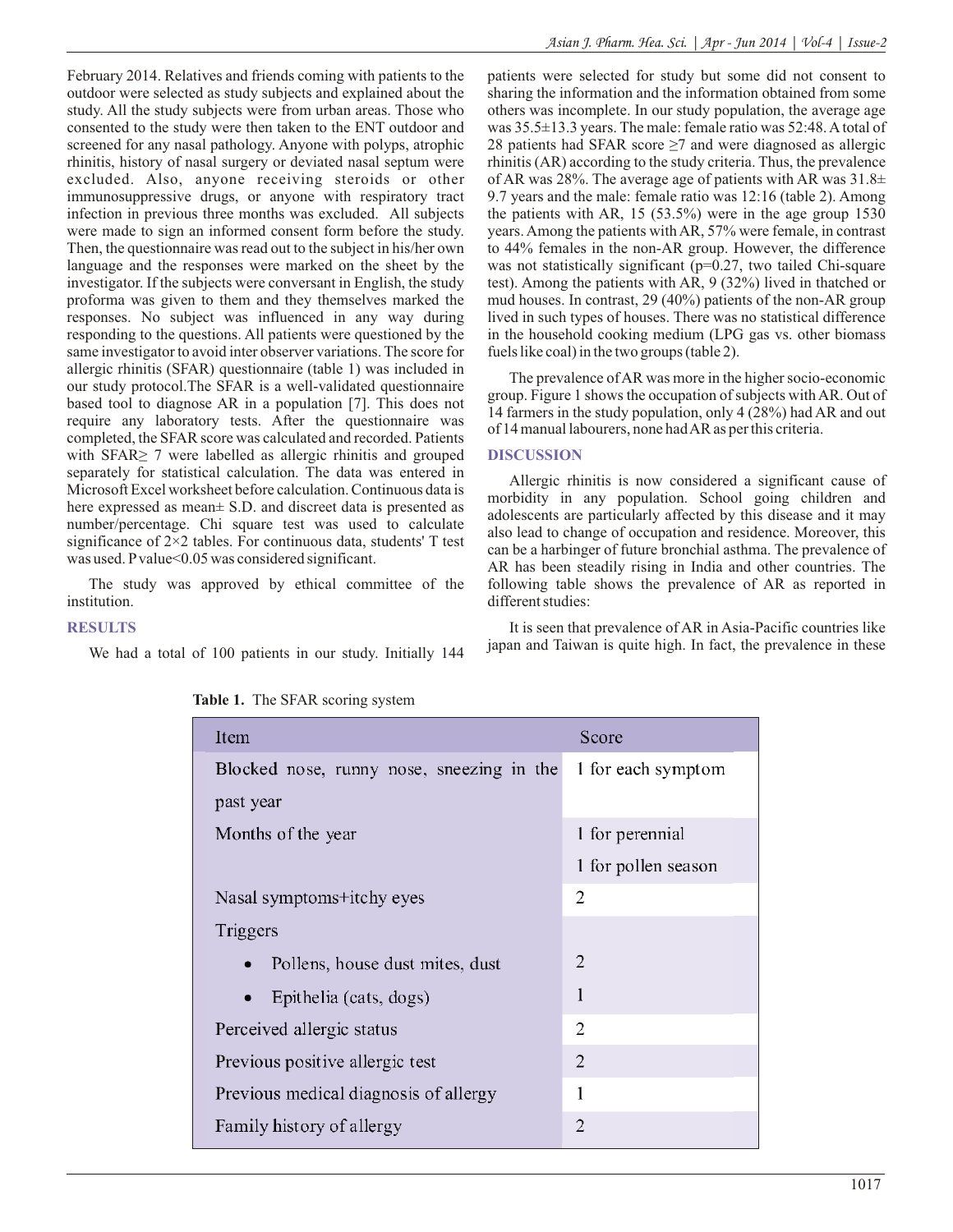February 2014. Relatives and friends coming with patients to the outdoor were selected as study subjects and explained about the study. All the study subjects were from urban areas. Those who consented to the study were then taken to the ENT outdoor and screened for any nasal pathology. Anyone with polyps, atrophic rhinitis, history of nasal surgery or deviated nasal septum were excluded. Also, anyone receiving steroids or other immunosuppressive drugs, or anyone with respiratory tract infection in previous three months was excluded. All subjects were made to sign an informed consent form before the study. Then, the questionnaire was read out to the subject in his/her own language and the responses were marked on the sheet by the investigator. If the subjects were conversant in English, the study proforma was given to them and they themselves marked the responses. No subject was influenced in any way during responding to the questions. All patients were questioned by the same investigator to avoid inter observer variations. The score for allergic rhinitis (SFAR) questionnaire (table 1) was included in our study protocol.The SFAR is a well-validated questionnaire based tool to diagnose AR in a population [7]. This does not require any laboratory tests. After the questionnaire was completed, the SFAR score was calculated and recorded. Patients with SFAR≥ 7 were labelled as allergic rhinitis and grouped separately for statistical calculation. The data was entered in Microsoft Excel worksheet before calculation. Continuous data is here expressed as mean $\pm$  S.D. and discreet data is presented as number/percentage. Chi square test was used to calculate significance of 2×2 tables. For continuous data, students' T test was used. P value<0.05 was considered significant.

The study was approved by ethical committee of the institution.

patients were selected for study but some did not consent to sharing the information and the information obtained from some others was incomplete. In our study population, the average age was 35.5±13.3 years. The male: female ratio was 52:48. Atotal of 28 patients had SFAR score  $\geq$ 7 and were diagnosed as allergic rhinitis (AR) according to the study criteria. Thus, the prevalence of AR was 28%. The average age of patients with AR was  $31.8\pm$ 9.7 years and the male: female ratio was 12:16 (table 2). Among the patients with AR, 15 (53.5%) were in the age group 1530 years. Among the patients with AR, 57% were female, in contrast to 44% females in the non-AR group. However, the difference was not statistically significant (p=0.27, two tailed Chi-square test). Among the patients with AR, 9 (32%) lived in thatched or mud houses. In contrast, 29 (40%) patients of the non-AR group lived in such types of houses. There was no statistical difference in the household cooking medium (LPG gas vs. other biomass fuels like coal) in the two groups (table 2).

The prevalence of AR was more in the higher socio-economic group. Figure 1 shows the occupation of subjects with AR. Out of 14 farmers in the study population, only 4 (28%) had AR and out of 14 manual labourers, none had AR as per this criteria.

# **DISCUSSION**

Allergic rhinitis is now considered a significant cause of morbidity in any population. School going children and adolescents are particularly affected by this disease and it may also lead to change of occupation and residence. Moreover, this can be a harbinger of future bronchial asthma. The prevalence of AR has been steadily rising in India and other countries. The following table shows the prevalence of AR as reported in different studies:

It is seen that prevalence of AR in Asia-Pacific countries like japan and Taiwan is quite high. In fact, the prevalence in these

#### **RESULTS**

We had a total of 100 patients in our study. Initially 144

| Item                                      | Score                                                                                                                                                           |  |  |
|-------------------------------------------|-----------------------------------------------------------------------------------------------------------------------------------------------------------------|--|--|
| Blocked nose, runny nose, sneezing in the | 1 for each symptom                                                                                                                                              |  |  |
| past year                                 |                                                                                                                                                                 |  |  |
| Months of the year                        | 1 for perennial                                                                                                                                                 |  |  |
|                                           | 1 for pollen season                                                                                                                                             |  |  |
| Nasal symptoms+itchy eyes                 | $\overline{2}$                                                                                                                                                  |  |  |
| Triggers                                  |                                                                                                                                                                 |  |  |
| Pollens, house dust mites, dust           | $\mathcal{D}_{\mathcal{A}}^{\mathcal{A}}(\mathcal{A})=\mathcal{D}_{\mathcal{A}}^{\mathcal{A}}(\mathcal{A})\mathcal{D}_{\mathcal{A}}^{\mathcal{A}}(\mathcal{A})$ |  |  |
| Epithelia (cats, dogs)                    | 1                                                                                                                                                               |  |  |
| Perceived allergic status                 | $\overline{2}$                                                                                                                                                  |  |  |
| Previous positive allergic test           | 2                                                                                                                                                               |  |  |
| Previous medical diagnosis of allergy     | 1                                                                                                                                                               |  |  |
| Family history of allergy                 | $\overline{2}$                                                                                                                                                  |  |  |

**Table 1.** The SFAR scoring system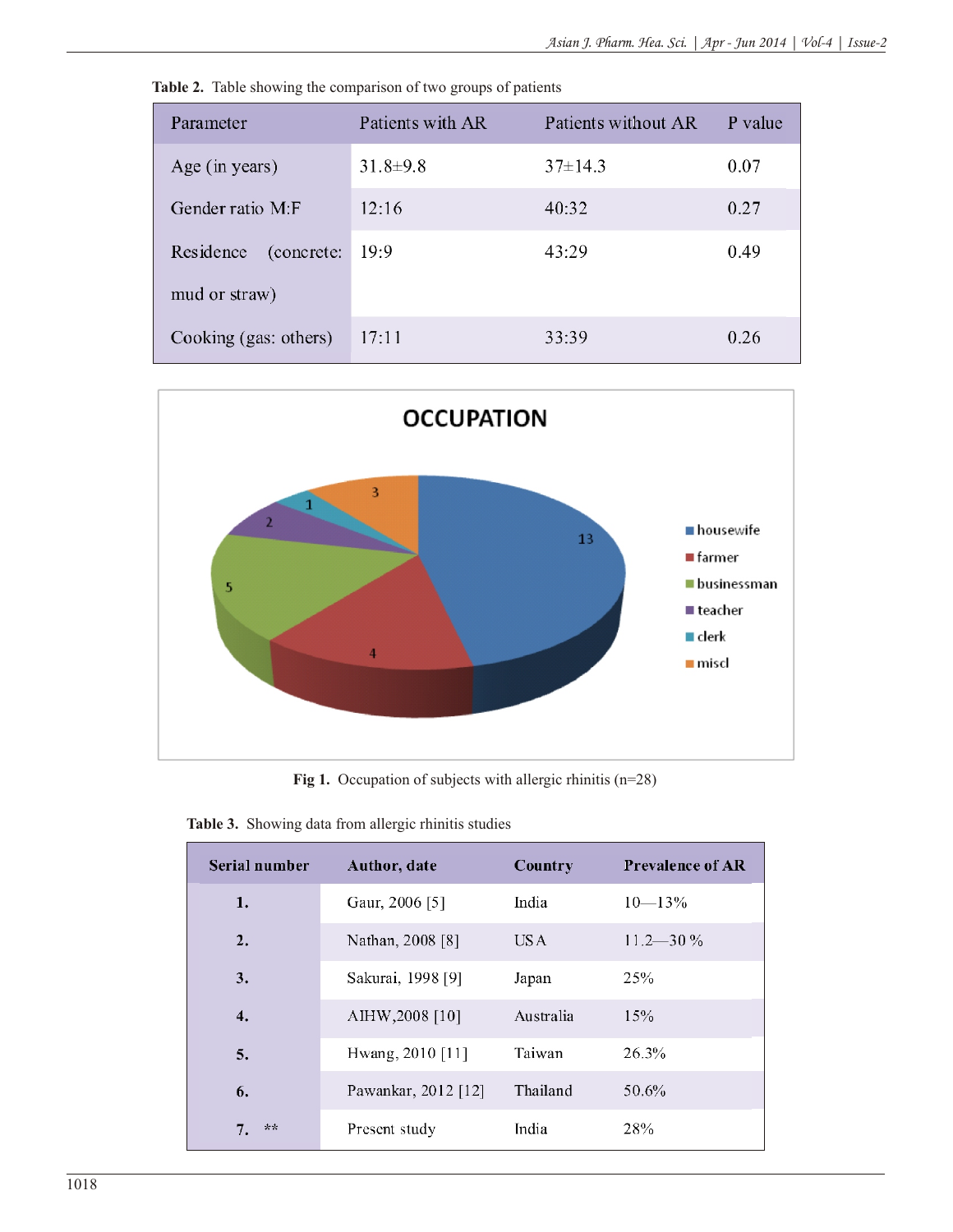| Parameter               | Patients with AR | Patients without AR | P value |
|-------------------------|------------------|---------------------|---------|
| Age (in years)          | $31.8 \pm 9.8$   | $37 \pm 14.3$       | 0.07    |
| Gender ratio M:F        | 12:16            | 40:32               | 0.27    |
| Residence<br>(concrete: | 19:9             | 43:29               | 0.49    |
| mud or straw)           |                  |                     |         |
| Cooking (gas: others)   | 17:11            | 33:39               | 0.26    |





Fig 1. Occupation of subjects with allergic rhinitis (n=28)

| Serial number | Author, date        | Country   | <b>Prevalence of AR</b> |
|---------------|---------------------|-----------|-------------------------|
| 1.            | Gaur, 2006 [5]      | India     | $10 - 13\%$             |
| 2.            | Nathan, 2008 [8]    | US A      | $11.2 - 30\%$           |
| 3.            | Sakurai, 1998 [9]   | Japan     | 25%                     |
| 4.            | AIHW, 2008 [10]     | Australia | 15%                     |
| 5.            | Hwang, 2010 [11]    | Taiwan    | 26.3%                   |
| 6.            | Pawankar, 2012 [12] | Thailand  | 50.6%                   |
| 7.<br>ナネ      | Present study       | India     | 28%                     |

| Table 3. Showing data from allergic rhinitis studies |  |  |  |
|------------------------------------------------------|--|--|--|
|                                                      |  |  |  |